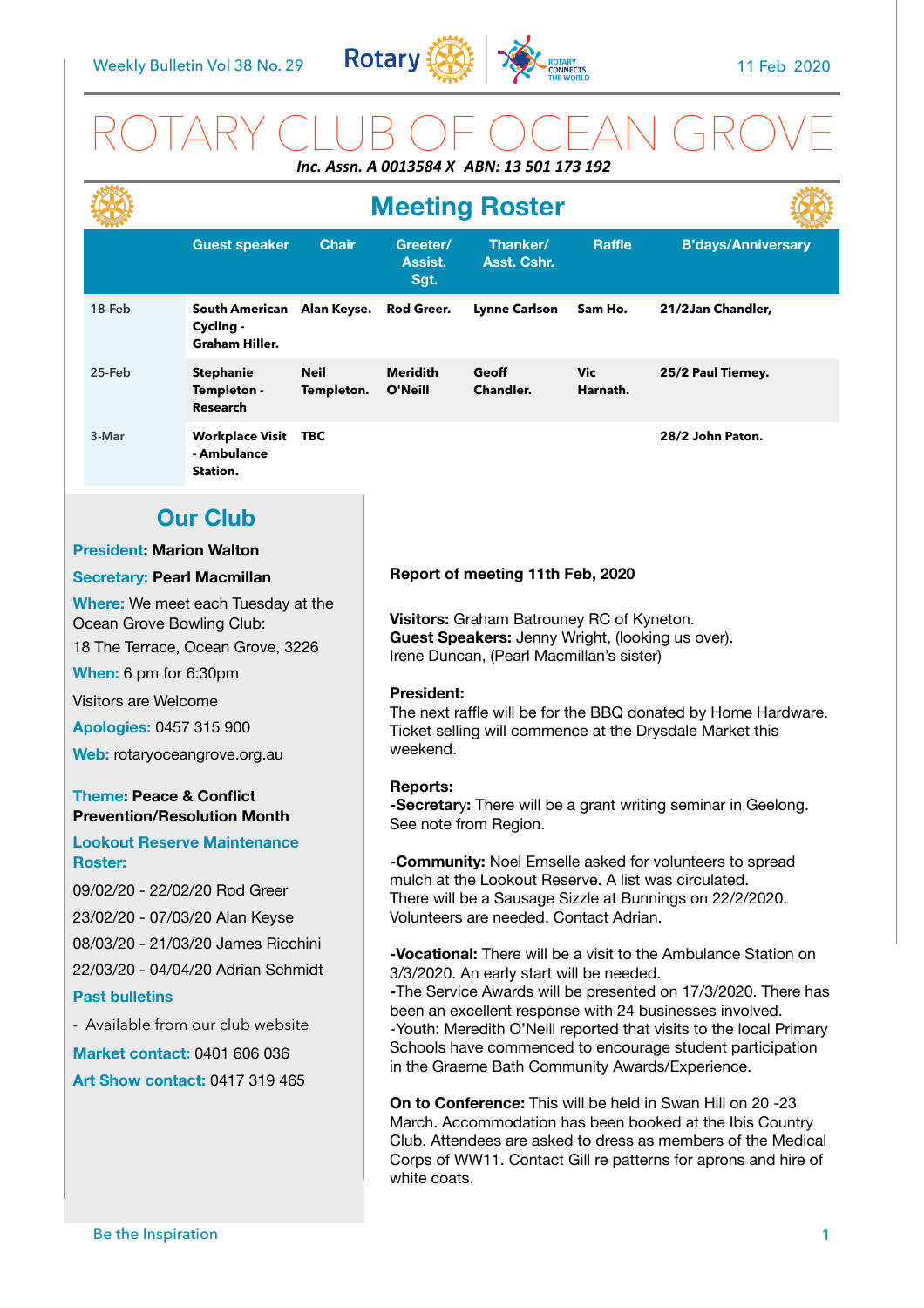

## ROTARY CLUB OF OCEAN GROVE *Inc. Assn. A 0013584 X ABN: 13 501 173 192*

|                                                                                                                                                                                                                                                                                                                                                                                                                                                                                                                                                                                                                                                          |                                                                  |                           | <b>Meeting Roster</b>                                                                                                                                                                                                                                                                                                                                                                                                                                                                                                                                                                                                                                                                                                                                                                                                                                                                                                                                                                                                                                                                                                                                                                                                                                                                 |                           |                 |                           |
|----------------------------------------------------------------------------------------------------------------------------------------------------------------------------------------------------------------------------------------------------------------------------------------------------------------------------------------------------------------------------------------------------------------------------------------------------------------------------------------------------------------------------------------------------------------------------------------------------------------------------------------------------------|------------------------------------------------------------------|---------------------------|---------------------------------------------------------------------------------------------------------------------------------------------------------------------------------------------------------------------------------------------------------------------------------------------------------------------------------------------------------------------------------------------------------------------------------------------------------------------------------------------------------------------------------------------------------------------------------------------------------------------------------------------------------------------------------------------------------------------------------------------------------------------------------------------------------------------------------------------------------------------------------------------------------------------------------------------------------------------------------------------------------------------------------------------------------------------------------------------------------------------------------------------------------------------------------------------------------------------------------------------------------------------------------------|---------------------------|-----------------|---------------------------|
|                                                                                                                                                                                                                                                                                                                                                                                                                                                                                                                                                                                                                                                          | <b>Guest speaker</b>                                             | <b>Chair</b>              | Greeter/<br>Assist.<br>Sgt.                                                                                                                                                                                                                                                                                                                                                                                                                                                                                                                                                                                                                                                                                                                                                                                                                                                                                                                                                                                                                                                                                                                                                                                                                                                           | Thanker/<br>Asst. Cshr.   | <b>Raffle</b>   | <b>B'days/Anniversary</b> |
| 18-Feb                                                                                                                                                                                                                                                                                                                                                                                                                                                                                                                                                                                                                                                   | South American Alan Keyse.<br>Cycling -<br><b>Graham Hiller.</b> |                           | Rod Greer.                                                                                                                                                                                                                                                                                                                                                                                                                                                                                                                                                                                                                                                                                                                                                                                                                                                                                                                                                                                                                                                                                                                                                                                                                                                                            | <b>Lynne Carlson</b>      | Sam Ho.         | 21/2Jan Chandler,         |
| 25-Feb                                                                                                                                                                                                                                                                                                                                                                                                                                                                                                                                                                                                                                                   | <b>Stephanie</b><br>Templeton -<br><b>Research</b>               | <b>Neil</b><br>Templeton. | <b>Meridith</b><br>O'Neill                                                                                                                                                                                                                                                                                                                                                                                                                                                                                                                                                                                                                                                                                                                                                                                                                                                                                                                                                                                                                                                                                                                                                                                                                                                            | Geoff<br><b>Chandler.</b> | Vic<br>Harnath. | 25/2 Paul Tierney.        |
| 3-Mar                                                                                                                                                                                                                                                                                                                                                                                                                                                                                                                                                                                                                                                    | <b>Workplace Visit TBC</b><br>- Ambulance<br>Station.            |                           |                                                                                                                                                                                                                                                                                                                                                                                                                                                                                                                                                                                                                                                                                                                                                                                                                                                                                                                                                                                                                                                                                                                                                                                                                                                                                       |                           |                 | 28/2 John Paton.          |
|                                                                                                                                                                                                                                                                                                                                                                                                                                                                                                                                                                                                                                                          | <b>Our Club</b>                                                  |                           |                                                                                                                                                                                                                                                                                                                                                                                                                                                                                                                                                                                                                                                                                                                                                                                                                                                                                                                                                                                                                                                                                                                                                                                                                                                                                       |                           |                 |                           |
| <b>President: Marion Walton</b>                                                                                                                                                                                                                                                                                                                                                                                                                                                                                                                                                                                                                          |                                                                  |                           |                                                                                                                                                                                                                                                                                                                                                                                                                                                                                                                                                                                                                                                                                                                                                                                                                                                                                                                                                                                                                                                                                                                                                                                                                                                                                       |                           |                 |                           |
| <b>Secretary: Pearl Macmillan</b>                                                                                                                                                                                                                                                                                                                                                                                                                                                                                                                                                                                                                        |                                                                  |                           | Report of meeting 11th Feb, 2020                                                                                                                                                                                                                                                                                                                                                                                                                                                                                                                                                                                                                                                                                                                                                                                                                                                                                                                                                                                                                                                                                                                                                                                                                                                      |                           |                 |                           |
| Where: We meet each Tuesday at the<br>Ocean Grove Bowling Club:<br>18 The Terrace, Ocean Grove, 3226<br>When: 6 pm for 6:30pm<br>Visitors are Welcome<br><b>Apologies: 0457 315 900</b><br>Web: rotaryoceangrove.org.au<br><b>Theme: Peace &amp; Conflict</b><br><b>Prevention/Resolution Month</b><br><b>Lookout Reserve Maintenance</b><br><b>Roster:</b><br>09/02/20 - 22/02/20 Rod Greer<br>23/02/20 - 07/03/20 Alan Keyse<br>08/03/20 - 21/03/20 James Ricchini<br>22/03/20 - 04/04/20 Adrian Schmidt<br><b>Past bulletins</b><br>- Available from our club website<br><b>Market contact: 0401 606 036</b><br><b>Art Show contact: 0417 319 465</b> |                                                                  |                           | Visitors: Graham Batrouney RC of Kyneton.<br>Guest Speakers: Jenny Wright, (looking us over).<br>Irene Duncan, (Pearl Macmillan's sister)<br><b>President:</b><br>The next raffle will be for the BBQ donated by Home Hardware.<br>Ticket selling will commence at the Drysdale Market this<br>weekend.<br><b>Reports:</b><br>-Secretary: There will be a grant writing seminar in Geelong.<br>See note from Region.<br>-Community: Noel Emselle asked for volunteers to spread<br>mulch at the Lookout Reserve. A list was circulated.<br>There will be a Sausage Sizzle at Bunnings on 22/2/2020.<br>Volunteers are needed. Contact Adrian.<br><b>-Vocational:</b> There will be a visit to the Ambulance Station on<br>3/3/2020. An early start will be needed.<br>-The Service Awards will be presented on 17/3/2020. There has<br>been an excellent response with 24 businesses involved.<br>-Youth: Meredith O'Neill reported that visits to the local Primary<br>Schools have commenced to encourage student participation<br>in the Graeme Bath Community Awards/Experience.<br><b>On to Conference:</b> This will be held in Swan Hill on 20 -23<br>March. Accommodation has been booked at the Ibis Country<br>Club. Attendees are asked to dress as members of the Medical |                           |                 |                           |
| Be the Inspiration                                                                                                                                                                                                                                                                                                                                                                                                                                                                                                                                                                                                                                       |                                                                  |                           | white coats.                                                                                                                                                                                                                                                                                                                                                                                                                                                                                                                                                                                                                                                                                                                                                                                                                                                                                                                                                                                                                                                                                                                                                                                                                                                                          |                           |                 | 1                         |